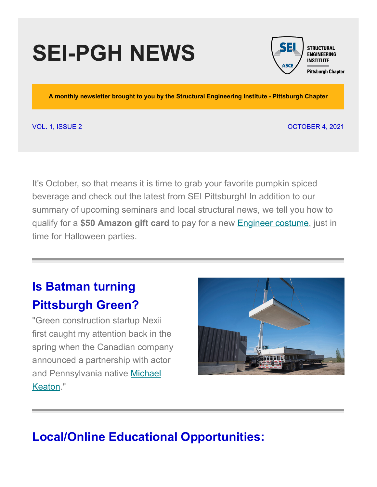# **SEI-PGH NEWS**



**A monthly newsletter brought to you by the Structural Engineering Institute - Pittsburgh Chapter**

VOL. 1, ISSUE 2 OCTOBER 4, 2021

It's October, so that means it is time to grab your favorite pumpkin spiced beverage and check out the latest from SEI Pittsburgh! In addition to our summary of upcoming seminars and local structural news, we tell you how to qualify for a **\$50 Amazon gift card** to pay for a new [Engineer costume](https://www.amazon.com/dp/B000XGMKM2/ref=cm_sw_em_r_mt_dp_8104141ZHVD465HY1H08?_encoding=UTF8&psc=1), just in time for Halloween parties.

# **Is Batman turning Pittsburgh Green?**

"Green construction startup Nexii first caught my attention back in the spring when the Canadian company announced a partnership with actor [and Pennsylvania native Michael](https://www.greenbiz.com/article/meet-nexii-green-construction-company-allied-michael-keaton) Keaton."



### **Local/Online Educational Opportunities:**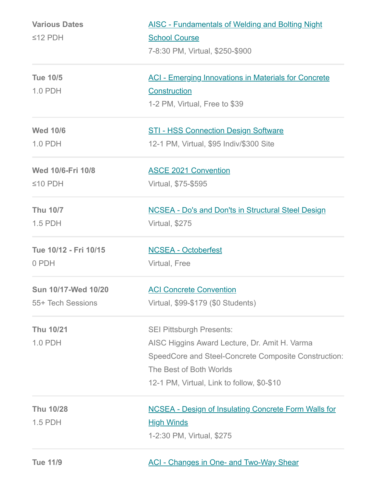| <b>Various Dates</b>  | <b>AISC - Fundamentals of Welding and Bolting Night</b>     |
|-----------------------|-------------------------------------------------------------|
| $\leq$ 12 PDH         | <b>School Course</b>                                        |
|                       | 7-8:30 PM, Virtual, \$250-\$900                             |
| <b>Tue 10/5</b>       | <b>ACI - Emerging Innovations in Materials for Concrete</b> |
| 1.0 PDH               | Construction                                                |
|                       | 1-2 PM, Virtual, Free to \$39                               |
| <b>Wed 10/6</b>       | <b>STI - HSS Connection Design Software</b>                 |
| 1.0 PDH               | 12-1 PM, Virtual, \$95 Indiv/\$300 Site                     |
| Wed 10/6-Fri 10/8     | <b>ASCE 2021 Convention</b>                                 |
| $≤10$ PDH             | Virtual, \$75-\$595                                         |
| <b>Thu 10/7</b>       | <b>NCSEA - Do's and Don'ts in Structural Steel Design</b>   |
| 1.5 PDH               | Virtual, \$275                                              |
| Tue 10/12 - Fri 10/15 | <b>NCSEA - Octoberfest</b>                                  |
| 0 PDH                 | <b>Virtual, Free</b>                                        |
| Sun 10/17-Wed 10/20   | <b>ACI Concrete Convention</b>                              |
| 55+ Tech Sessions     | Virtual, \$99-\$179 (\$0 Students)                          |
| <b>Thu 10/21</b>      | <b>SEI Pittsburgh Presents:</b>                             |
| 1.0 PDH               | AISC Higgins Award Lecture, Dr. Amit H. Varma               |
|                       | SpeedCore and Steel-Concrete Composite Construction:        |
|                       | The Best of Both Worlds                                     |
|                       | 12-1 PM, Virtual, Link to follow, \$0-\$10                  |
| <b>Thu 10/28</b>      | <b>NCSEA - Design of Insulating Concrete Form Walls for</b> |
| 1.5 PDH               | <u>High Winds</u>                                           |
|                       | 1-2:30 PM, Virtual, \$275                                   |
| <b>Tue 11/9</b>       | <b>ACI - Changes in One- and Two-Way Shear</b>              |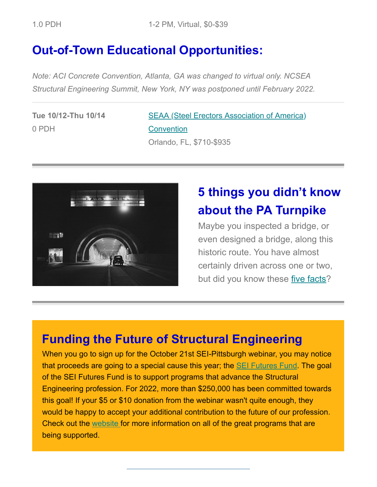### **Out-of-Town Educational Opportunities:**

*Note: ACI Concrete Convention, Atlanta, GA was changed to virtual only. NCSEA Structural Engineering Summit, New York, NY was postponed until February 2022.*

**Tue 10/12-Thu 10/14** 0 PDH

[SEAA \(Steel Erectors Association of America\)](https://www.seaa.net/seaa-convention--trade-show.html) **Convention** Orlando, FL, \$710-\$935



## **5 things you didn't know about the PA Turnpike**

Maybe you inspected a bridge, or even designed a bridge, along this historic route. You have almost certainly driven across one or two, but did you know these [five facts](https://www.asce.org/publications-and-news/civil-engineering-source/article/2021/08/10/5-things-you-didnt-know-about-the-pennsylvania-turnpike)?

#### **Funding the Future of Structural Engineering**

When you go to sign up for the October 21st SEI-Pittsburgh webinar, you may notice that proceeds are going to a special cause this year; the [SEI Futures Fund](https://www.asce.org/communities/institutes-and-technical-groups/structural-engineering-institute/futures-fund). The goal of the SEI Futures Fund is to support programs that advance the Structural Engineering profession. For 2022, more than \$250,000 has been committed towards this goal! If your \$5 or \$10 donation from the webinar wasn't quite enough, they would be happy to accept your additional contribution to the future of our profession. Check out the [website](https://www.asce.org/communities/institutes-and-technical-groups/structural-engineering-institute/futures-fund) for more information on all of the great programs that are being supported.